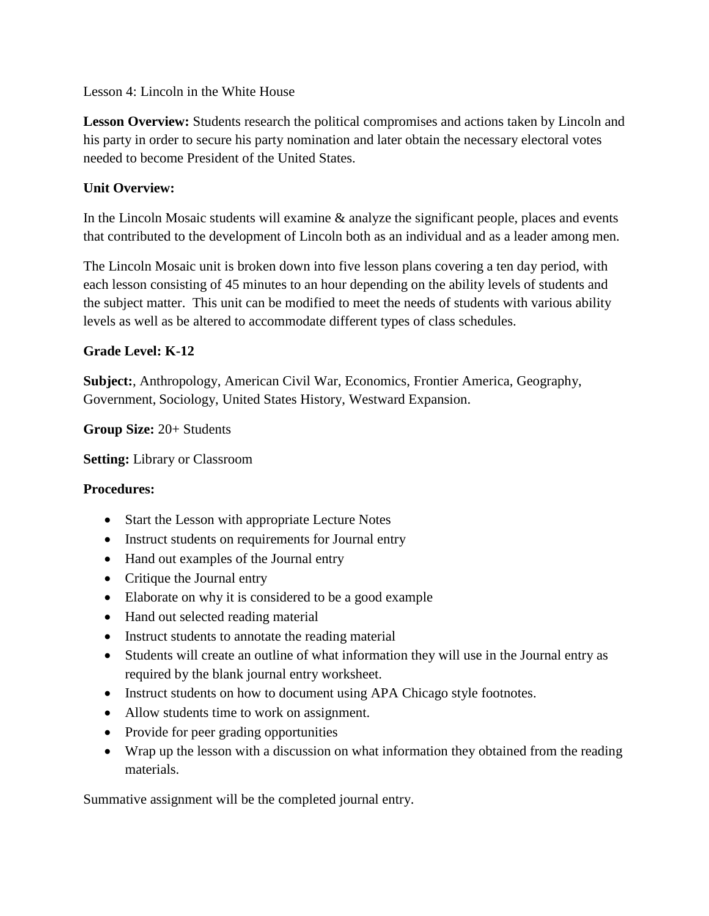Lesson 4: Lincoln in the White House

**Lesson Overview:** Students research the political compromises and actions taken by Lincoln and his party in order to secure his party nomination and later obtain the necessary electoral votes needed to become President of the United States.

## **Unit Overview:**

In the Lincoln Mosaic students will examine  $\&$  analyze the significant people, places and events that contributed to the development of Lincoln both as an individual and as a leader among men.

The Lincoln Mosaic unit is broken down into five lesson plans covering a ten day period, with each lesson consisting of 45 minutes to an hour depending on the ability levels of students and the subject matter. This unit can be modified to meet the needs of students with various ability levels as well as be altered to accommodate different types of class schedules.

#### **Grade Level: K-12**

**Subject:**, Anthropology, American Civil War, Economics, Frontier America, Geography, Government, Sociology, United States History, Westward Expansion.

**Group Size:** 20+ Students

**Setting:** Library or Classroom

#### **Procedures:**

- Start the Lesson with appropriate Lecture Notes
- Instruct students on requirements for Journal entry
- Hand out examples of the Journal entry
- Critique the Journal entry
- Elaborate on why it is considered to be a good example
- Hand out selected reading material
- Instruct students to annotate the reading material
- Students will create an outline of what information they will use in the Journal entry as required by the blank journal entry worksheet.
- Instruct students on how to document using APA Chicago style footnotes.
- Allow students time to work on assignment.
- Provide for peer grading opportunities
- Wrap up the lesson with a discussion on what information they obtained from the reading materials.

Summative assignment will be the completed journal entry.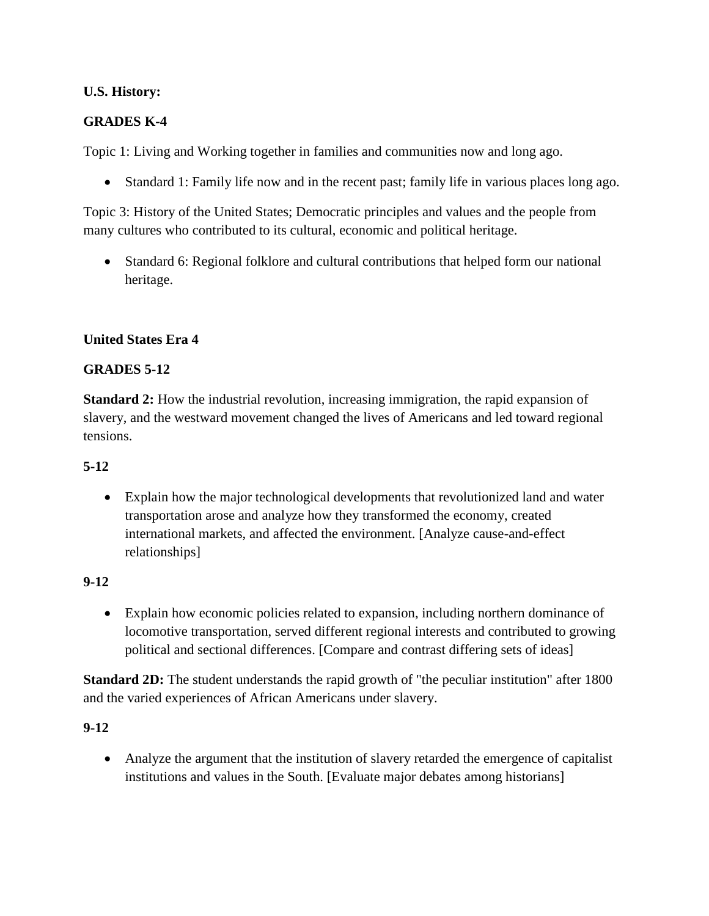### **U.S. History:**

## **GRADES K-4**

Topic 1: Living and Working together in families and communities now and long ago.

Standard 1: Family life now and in the recent past; family life in various places long ago.

Topic 3: History of the United States; Democratic principles and values and the people from many cultures who contributed to its cultural, economic and political heritage.

 Standard 6: Regional folklore and cultural contributions that helped form our national heritage.

#### **United States Era 4**

#### **GRADES 5-12**

**Standard 2:** How the industrial revolution, increasing immigration, the rapid expansion of slavery, and the westward movement changed the lives of Americans and led toward regional tensions.

#### **5-12**

 Explain how the major technological developments that revolutionized land and water transportation arose and analyze how they transformed the economy, created international markets, and affected the environment. [Analyze cause-and-effect relationships]

#### **9-12**

 Explain how economic policies related to expansion, including northern dominance of locomotive transportation, served different regional interests and contributed to growing political and sectional differences. [Compare and contrast differing sets of ideas]

**Standard 2D:** The student understands the rapid growth of "the peculiar institution" after 1800 and the varied experiences of African Americans under slavery.

#### **9-12**

 Analyze the argument that the institution of slavery retarded the emergence of capitalist institutions and values in the South. [Evaluate major debates among historians]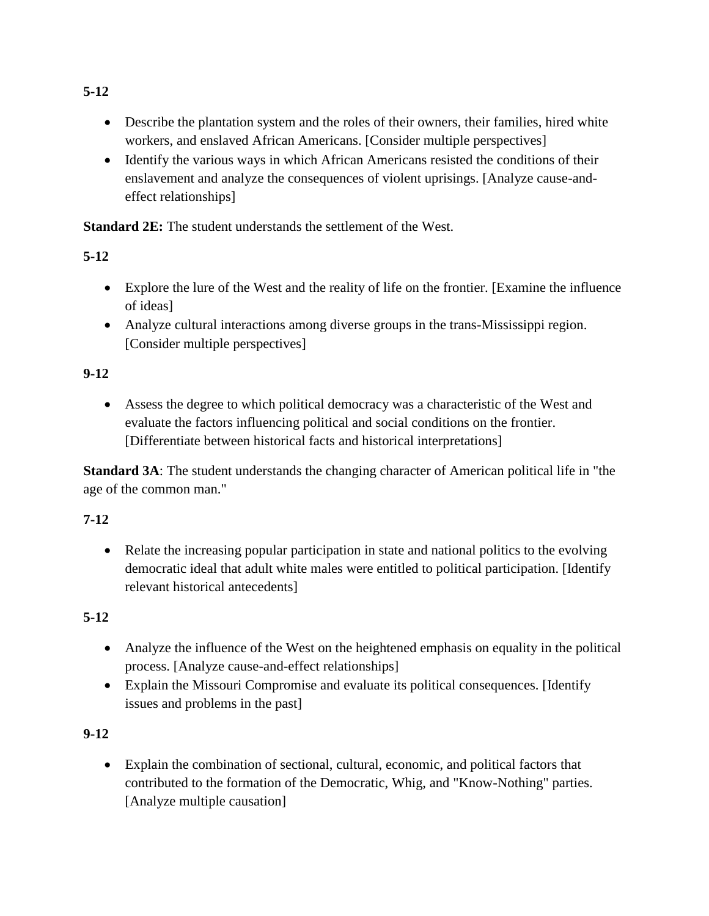- Describe the plantation system and the roles of their owners, their families, hired white workers, and enslaved African Americans. [Consider multiple perspectives]
- Identify the various ways in which African Americans resisted the conditions of their enslavement and analyze the consequences of violent uprisings. [Analyze cause-andeffect relationships]

**Standard 2E:** The student understands the settlement of the West.

# **5-12**

- Explore the lure of the West and the reality of life on the frontier. [Examine the influence of ideas]
- Analyze cultural interactions among diverse groups in the trans-Mississippi region. [Consider multiple perspectives]

# **9-12**

 Assess the degree to which political democracy was a characteristic of the West and evaluate the factors influencing political and social conditions on the frontier. [Differentiate between historical facts and historical interpretations]

**Standard 3A**: The student understands the changing character of American political life in "the age of the common man."

# **7-12**

• Relate the increasing popular participation in state and national politics to the evolving democratic ideal that adult white males were entitled to political participation. [Identify relevant historical antecedents]

# **5-12**

- Analyze the influence of the West on the heightened emphasis on equality in the political process. [Analyze cause-and-effect relationships]
- Explain the Missouri Compromise and evaluate its political consequences. [Identify issues and problems in the past]

# **9-12**

 Explain the combination of sectional, cultural, economic, and political factors that contributed to the formation of the Democratic, Whig, and "Know-Nothing" parties. [Analyze multiple causation]

# **5-12**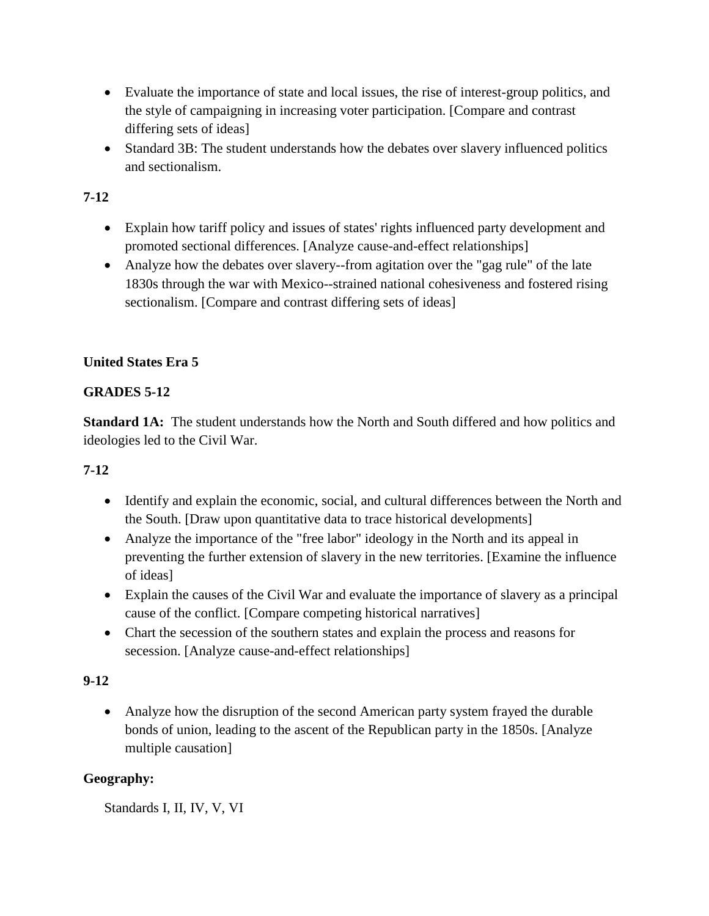- Evaluate the importance of state and local issues, the rise of interest-group politics, and the style of campaigning in increasing voter participation. [Compare and contrast differing sets of ideas]
- Standard 3B: The student understands how the debates over slavery influenced politics and sectionalism.

# **7-12**

- Explain how tariff policy and issues of states' rights influenced party development and promoted sectional differences. [Analyze cause-and-effect relationships]
- Analyze how the debates over slavery--from agitation over the "gag rule" of the late 1830s through the war with Mexico--strained national cohesiveness and fostered rising sectionalism. [Compare and contrast differing sets of ideas]

# **United States Era 5**

# **GRADES 5-12**

**Standard 1A:** The student understands how the North and South differed and how politics and ideologies led to the Civil War.

# **7-12**

- Identify and explain the economic, social, and cultural differences between the North and the South. [Draw upon quantitative data to trace historical developments]
- Analyze the importance of the "free labor" ideology in the North and its appeal in preventing the further extension of slavery in the new territories. [Examine the influence of ideas]
- Explain the causes of the Civil War and evaluate the importance of slavery as a principal cause of the conflict. [Compare competing historical narratives]
- Chart the secession of the southern states and explain the process and reasons for secession. [Analyze cause-and-effect relationships]

## **9-12**

 Analyze how the disruption of the second American party system frayed the durable bonds of union, leading to the ascent of the Republican party in the 1850s. [Analyze multiple causation]

## **Geography:**

Standards I, II, IV, V, VI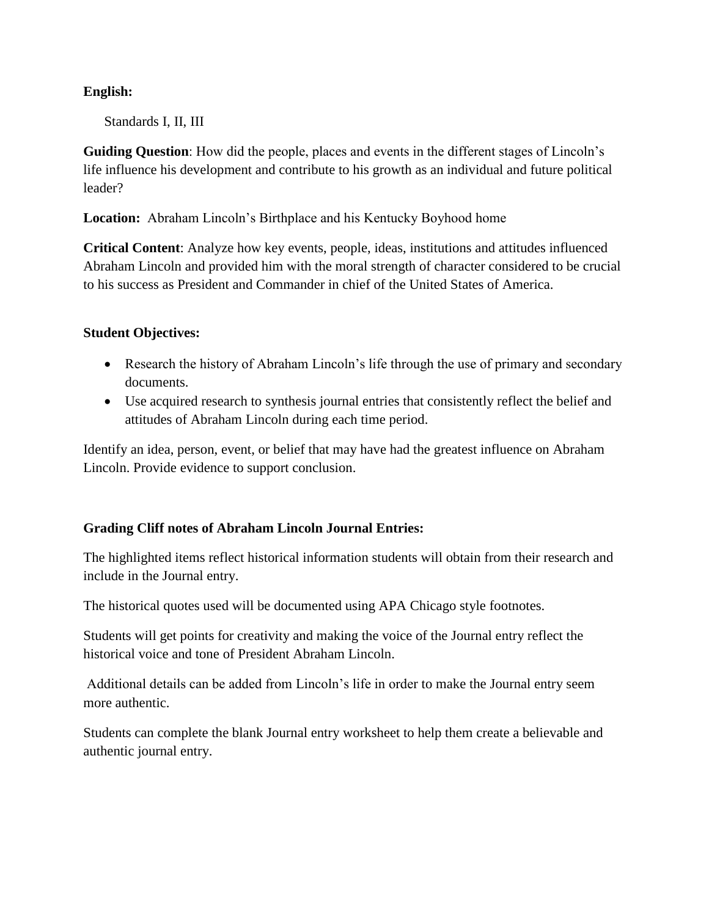### **English:**

Standards I, II, III

**Guiding Question**: How did the people, places and events in the different stages of Lincoln's life influence his development and contribute to his growth as an individual and future political leader?

**Location:** Abraham Lincoln's Birthplace and his Kentucky Boyhood home

**Critical Content**: Analyze how key events, people, ideas, institutions and attitudes influenced Abraham Lincoln and provided him with the moral strength of character considered to be crucial to his success as President and Commander in chief of the United States of America.

#### **Student Objectives:**

- Research the history of Abraham Lincoln's life through the use of primary and secondary documents.
- Use acquired research to synthesis journal entries that consistently reflect the belief and attitudes of Abraham Lincoln during each time period.

Identify an idea, person, event, or belief that may have had the greatest influence on Abraham Lincoln. Provide evidence to support conclusion.

## **Grading Cliff notes of Abraham Lincoln Journal Entries:**

The highlighted items reflect historical information students will obtain from their research and include in the Journal entry.

The historical quotes used will be documented using APA Chicago style footnotes.

Students will get points for creativity and making the voice of the Journal entry reflect the historical voice and tone of President Abraham Lincoln.

Additional details can be added from Lincoln's life in order to make the Journal entry seem more authentic.

Students can complete the blank Journal entry worksheet to help them create a believable and authentic journal entry.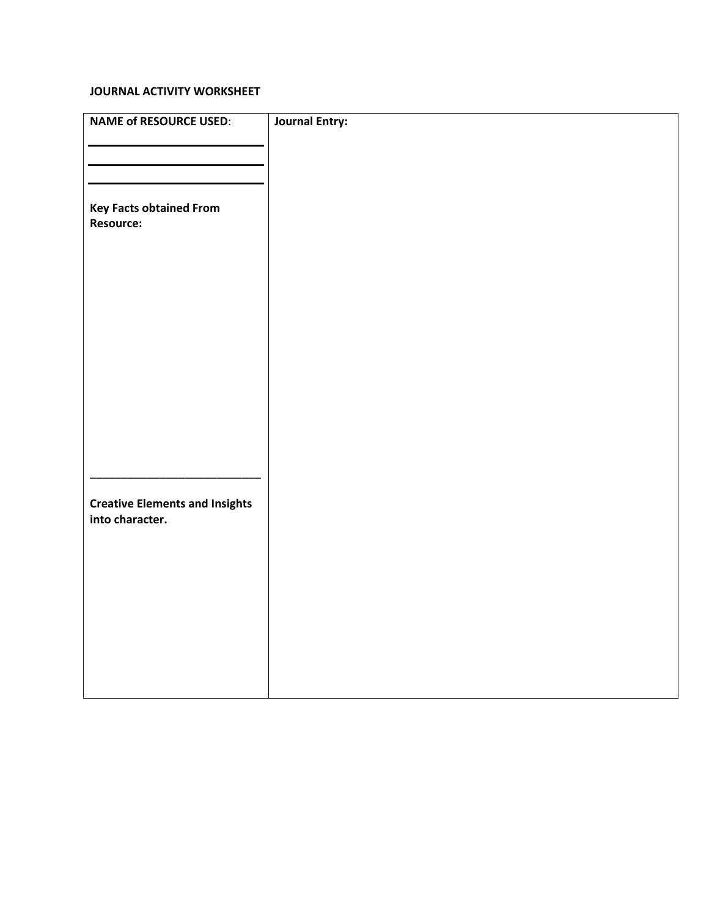#### **JOURNAL ACTIVITY WORKSHEET**

| <b>NAME of RESOURCE USED:</b>                      | <b>Journal Entry:</b> |
|----------------------------------------------------|-----------------------|
|                                                    |                       |
|                                                    |                       |
| <b>Key Facts obtained From</b><br><b>Resource:</b> |                       |
|                                                    |                       |
|                                                    |                       |
|                                                    |                       |
|                                                    |                       |
|                                                    |                       |
|                                                    |                       |
|                                                    |                       |
|                                                    |                       |
|                                                    |                       |
|                                                    |                       |
| <b>Creative Elements and Insights</b>              |                       |
| into character.                                    |                       |
|                                                    |                       |
|                                                    |                       |
|                                                    |                       |
|                                                    |                       |
|                                                    |                       |
|                                                    |                       |
|                                                    |                       |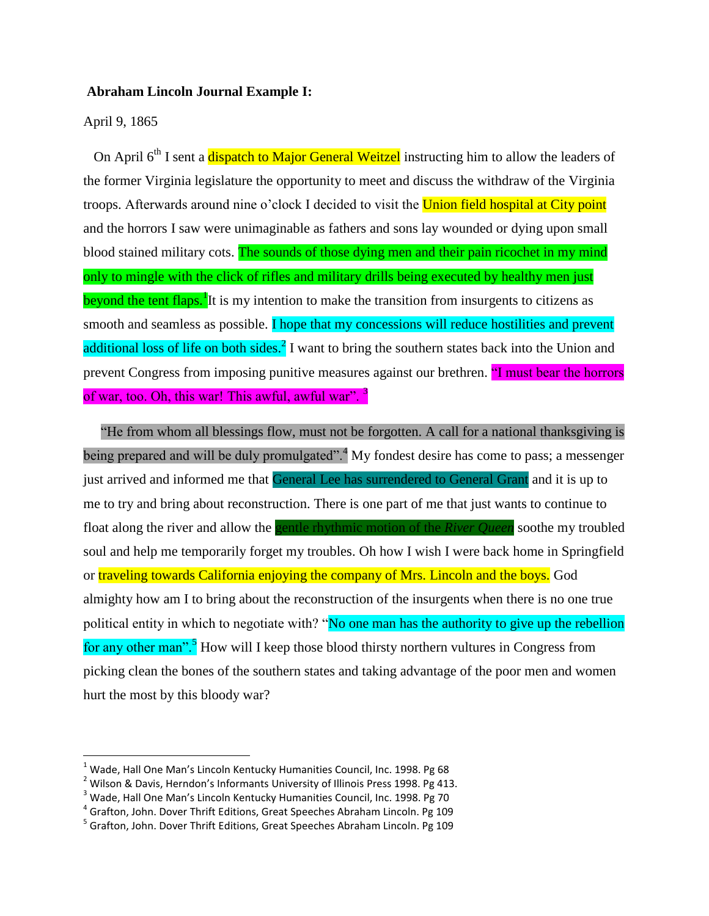#### **Abraham Lincoln Journal Example I:**

April 9, 1865

l

On April 6<sup>th</sup> I sent a dispatch to Major General Weitzel instructing him to allow the leaders of the former Virginia legislature the opportunity to meet and discuss the withdraw of the Virginia troops. Afterwards around nine o'clock I decided to visit the Union field hospital at City point and the horrors I saw were unimaginable as fathers and sons lay wounded or dying upon small blood stained military cots. The sounds of those dying men and their pain ricochet in my mind only to mingle with the click of rifles and military drills being executed by healthy men just beyond the tent flaps.<sup>1</sup> It is my intention to make the transition from insurgents to citizens as smooth and seamless as possible. I hope that my concessions will reduce hostilities and prevent additional loss of life on both sides.<sup>2</sup> I want to bring the southern states back into the Union and prevent Congress from imposing punitive measures against our brethren. "I must bear the horrors of war, too. Oh, this war! This awful, awful war".<sup>3</sup>

 "He from whom all blessings flow, must not be forgotten. A call for a national thanksgiving is being prepared and will be duly promulgated".<sup>4</sup> My fondest desire has come to pass; a messenger just arrived and informed me that General Lee has surrendered to General Grant and it is up to me to try and bring about reconstruction. There is one part of me that just wants to continue to float along the river and allow the gentle rhythmic motion of the *River Queen* soothe my troubled soul and help me temporarily forget my troubles. Oh how I wish I were back home in Springfield or traveling towards California enjoying the company of Mrs. Lincoln and the boys. God almighty how am I to bring about the reconstruction of the insurgents when there is no one true political entity in which to negotiate with? "No one man has the authority to give up the rebellion for any other man".<sup>5</sup> How will I keep those blood thirsty northern vultures in Congress from picking clean the bones of the southern states and taking advantage of the poor men and women hurt the most by this bloody war?

 $1$  Wade, Hall One Man's Lincoln Kentucky Humanities Council, Inc. 1998. Pg 68

 $2$  Wilson & Davis, Herndon's Informants University of Illinois Press 1998. Pg 413.

<sup>&</sup>lt;sup>3</sup> Wade, Hall One Man's Lincoln Kentucky Humanities Council, Inc. 1998. Pg 70

<sup>&</sup>lt;sup>4</sup> Grafton, John. Dover Thrift Editions, Great Speeches Abraham Lincoln. Pg 109

<sup>&</sup>lt;sup>5</sup> Grafton, John. Dover Thrift Editions, Great Speeches Abraham Lincoln. Pg 109